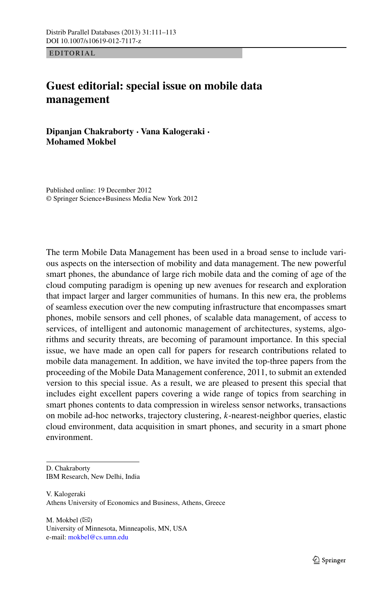EDITORIAL

## **Guest editorial: special issue on mobile data management**

**Dipanjan Chakraborty · Vana Kalogeraki · Mohamed Mokbel**

Published online: 19 December 2012 © Springer Science+Business Media New York 2012

The term Mobile Data Management has been used in a broad sense to include various aspects on the intersection of mobility and data management. The new powerful smart phones, the abundance of large rich mobile data and the coming of age of the cloud computing paradigm is opening up new avenues for research and exploration that impact larger and larger communities of humans. In this new era, the problems of seamless execution over the new computing infrastructure that encompasses smart phones, mobile sensors and cell phones, of scalable data management, of access to services, of intelligent and autonomic management of architectures, systems, algorithms and security threats, are becoming of paramount importance. In this special issue, we have made an open call for papers for research contributions related to mobile data management. In addition, we have invited the top-three papers from the proceeding of the Mobile Data Management conference, 2011, to submit an extended version to this special issue. As a result, we are pleased to present this special that includes eight excellent papers covering a wide range of topics from searching in smart phones contents to data compression in wireless sensor networks, transactions on mobile ad-hoc networks, trajectory clustering, *k*-nearest-neighbor queries, elastic cloud environment, data acquisition in smart phones, and security in a smart phone environment.

- D. Chakraborty IBM Research, New Delhi, India
- V. Kalogeraki Athens University of Economics and Business, Athens, Greece

 $M.$  Mokbel  $(\boxtimes)$ University of Minnesota, Minneapolis, MN, USA e-mail: [mokbel@cs.umn.edu](mailto:mokbel@cs.umn.edu)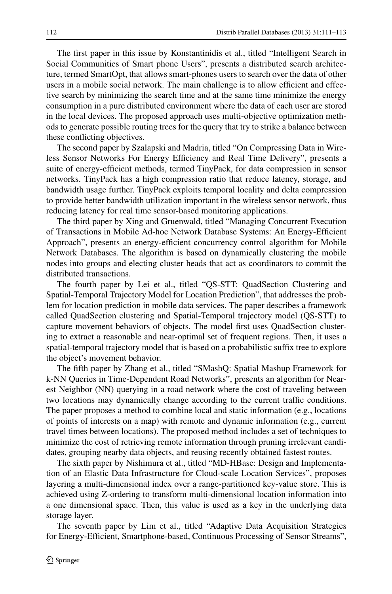The first paper in this issue by Konstantinidis et al., titled "Intelligent Search in Social Communities of Smart phone Users", presents a distributed search architecture, termed SmartOpt, that allows smart-phones users to search over the data of other users in a mobile social network. The main challenge is to allow efficient and effective search by minimizing the search time and at the same time minimize the energy consumption in a pure distributed environment where the data of each user are stored in the local devices. The proposed approach uses multi-objective optimization methods to generate possible routing trees for the query that try to strike a balance between these conflicting objectives.

The second paper by Szalapski and Madria, titled "On Compressing Data in Wireless Sensor Networks For Energy Efficiency and Real Time Delivery", presents a suite of energy-efficient methods, termed TinyPack, for data compression in sensor networks. TinyPack has a high compression ratio that reduce latency, storage, and bandwidth usage further. TinyPack exploits temporal locality and delta compression to provide better bandwidth utilization important in the wireless sensor network, thus reducing latency for real time sensor-based monitoring applications.

The third paper by Xing and Gruenwald, titled "Managing Concurrent Execution of Transactions in Mobile Ad-hoc Network Database Systems: An Energy-Efficient Approach", presents an energy-efficient concurrency control algorithm for Mobile Network Databases. The algorithm is based on dynamically clustering the mobile nodes into groups and electing cluster heads that act as coordinators to commit the distributed transactions.

The fourth paper by Lei et al., titled "QS-STT: QuadSection Clustering and Spatial-Temporal Trajectory Model for Location Prediction", that addresses the problem for location prediction in mobile data services. The paper describes a framework called QuadSection clustering and Spatial-Temporal trajectory model (QS-STT) to capture movement behaviors of objects. The model first uses QuadSection clustering to extract a reasonable and near-optimal set of frequent regions. Then, it uses a spatial-temporal trajectory model that is based on a probabilistic suffix tree to explore the object's movement behavior.

The fifth paper by Zhang et al., titled "SMashQ: Spatial Mashup Framework for k-NN Queries in Time-Dependent Road Networks", presents an algorithm for Nearest Neighbor (NN) querying in a road network where the cost of traveling between two locations may dynamically change according to the current traffic conditions. The paper proposes a method to combine local and static information (e.g., locations of points of interests on a map) with remote and dynamic information (e.g., current travel times between locations). The proposed method includes a set of techniques to minimize the cost of retrieving remote information through pruning irrelevant candidates, grouping nearby data objects, and reusing recently obtained fastest routes.

The sixth paper by Nishimura et al., titled "MD-HBase: Design and Implementation of an Elastic Data Infrastructure for Cloud-scale Location Services", proposes layering a multi-dimensional index over a range-partitioned key-value store. This is achieved using Z-ordering to transform multi-dimensional location information into a one dimensional space. Then, this value is used as a key in the underlying data storage layer.

The seventh paper by Lim et al., titled "Adaptive Data Acquisition Strategies for Energy-Efficient, Smartphone-based, Continuous Processing of Sensor Streams",